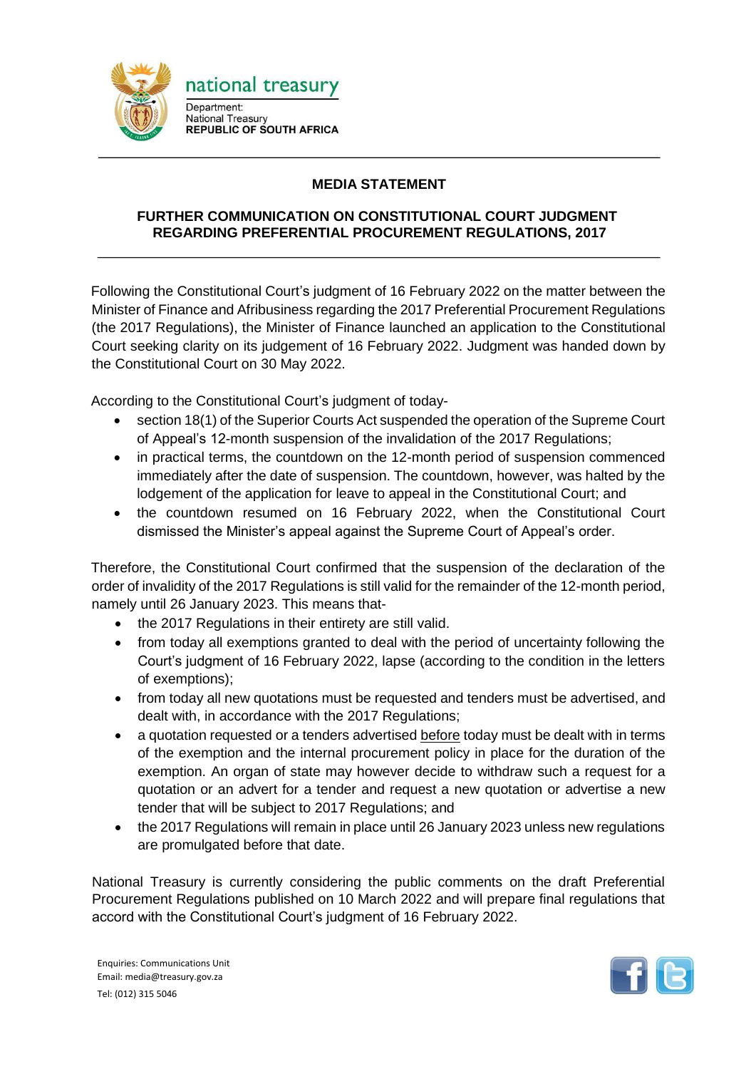

## **MEDIA STATEMENT**

## **FURTHER COMMUNICATION ON CONSTITUTIONAL COURT JUDGMENT REGARDING PREFERENTIAL PROCUREMENT REGULATIONS, 2017**

Following the Constitutional Court's judgment of 16 February 2022 on the matter between the Minister of Finance and Afribusiness regarding the 2017 Preferential Procurement Regulations (the 2017 Regulations), the Minister of Finance launched an application to the Constitutional Court seeking clarity on its judgement of 16 February 2022. Judgment was handed down by the Constitutional Court on 30 May 2022.

According to the Constitutional Court's judgment of today-

- section 18(1) of the Superior Courts Act suspended the operation of the Supreme Court of Appeal's 12-month suspension of the invalidation of the 2017 Regulations;
- in practical terms, the countdown on the 12-month period of suspension commenced immediately after the date of suspension. The countdown, however, was halted by the lodgement of the application for leave to appeal in the Constitutional Court; and
- the countdown resumed on 16 February 2022, when the Constitutional Court dismissed the Minister's appeal against the Supreme Court of Appeal's order.

Therefore, the Constitutional Court confirmed that the suspension of the declaration of the order of invalidity of the 2017 Regulations is still valid for the remainder of the 12-month period, namely until 26 January 2023. This means that-

- the 2017 Regulations in their entirety are still valid.
- from today all exemptions granted to deal with the period of uncertainty following the Court's judgment of 16 February 2022, lapse (according to the condition in the letters of exemptions);
- from today all new quotations must be requested and tenders must be advertised, and dealt with, in accordance with the 2017 Regulations;
- a quotation requested or a tenders advertised before today must be dealt with in terms of the exemption and the internal procurement policy in place for the duration of the exemption. An organ of state may however decide to withdraw such a request for a quotation or an advert for a tender and request a new quotation or advertise a new tender that will be subject to 2017 Regulations; and
- the 2017 Regulations will remain in place until 26 January 2023 unless new regulations are promulgated before that date.

National Treasury is currently considering the public comments on the draft Preferential Procurement Regulations published on 10 March 2022 and will prepare final regulations that accord with the Constitutional Court's judgment of 16 February 2022.